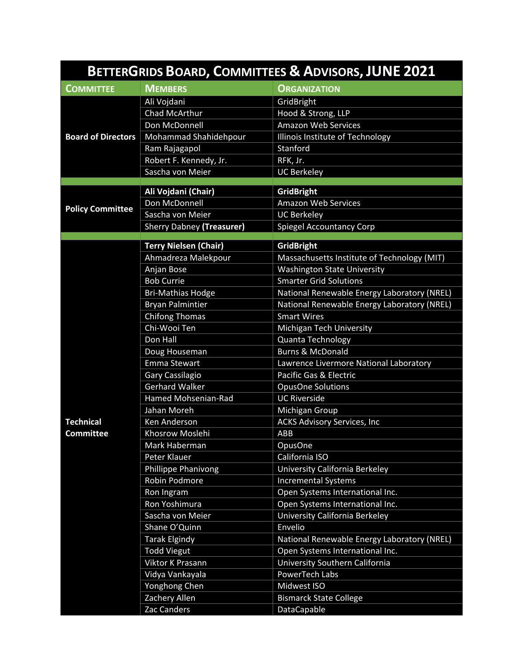| BETTERGRIDS BOARD, COMMITTEES & ADVISORS, JUNE 2021 |                                            |                                                                                |  |
|-----------------------------------------------------|--------------------------------------------|--------------------------------------------------------------------------------|--|
| <b>COMMITTEE</b>                                    | <b>MEMBERS</b>                             | <b>ORGANIZATION</b>                                                            |  |
| <b>Board of Directors</b>                           | Ali Vojdani                                | GridBright                                                                     |  |
|                                                     | Chad McArthur                              | Hood & Strong, LLP                                                             |  |
|                                                     | Don McDonnell                              | <b>Amazon Web Services</b>                                                     |  |
|                                                     | Mohammad Shahidehpour                      | Illinois Institute of Technology                                               |  |
|                                                     | Ram Rajagapol                              | Stanford                                                                       |  |
|                                                     | Robert F. Kennedy, Jr.                     | RFK, Jr.                                                                       |  |
|                                                     | Sascha von Meier                           | <b>UC Berkeley</b>                                                             |  |
|                                                     | Ali Vojdani (Chair)                        | <b>GridBright</b>                                                              |  |
|                                                     | Don McDonnell                              | <b>Amazon Web Services</b>                                                     |  |
| <b>Policy Committee</b>                             | Sascha von Meier                           | <b>UC Berkeley</b>                                                             |  |
|                                                     | <b>Sherry Dabney (Treasurer)</b>           | <b>Spiegel Accountancy Corp</b>                                                |  |
|                                                     |                                            |                                                                                |  |
|                                                     | <b>Terry Nielsen (Chair)</b>               | <b>GridBright</b>                                                              |  |
|                                                     | Ahmadreza Malekpour                        | Massachusetts Institute of Technology (MIT)                                    |  |
|                                                     | Anjan Bose                                 | <b>Washington State University</b>                                             |  |
|                                                     | <b>Bob Currie</b>                          | <b>Smarter Grid Solutions</b>                                                  |  |
|                                                     | <b>Bri-Mathias Hodge</b>                   | National Renewable Energy Laboratory (NREL)                                    |  |
|                                                     | <b>Bryan Palmintier</b>                    | National Renewable Energy Laboratory (NREL)                                    |  |
|                                                     | <b>Chifong Thomas</b>                      | <b>Smart Wires</b>                                                             |  |
|                                                     | Chi-Wooi Ten                               | Michigan Tech University                                                       |  |
|                                                     | Don Hall                                   | Quanta Technology                                                              |  |
|                                                     | Doug Houseman                              | <b>Burns &amp; McDonald</b>                                                    |  |
|                                                     | <b>Emma Stewart</b>                        | Lawrence Livermore National Laboratory                                         |  |
|                                                     | Gary Cassilagio                            | Pacific Gas & Electric                                                         |  |
|                                                     | <b>Gerhard Walker</b>                      | <b>OpusOne Solutions</b>                                                       |  |
|                                                     | Hamed Mohsenian-Rad                        | <b>UC Riverside</b>                                                            |  |
|                                                     | Jahan Moreh                                | Michigan Group                                                                 |  |
| <b>Technical</b>                                    | Ken Anderson                               | <b>ACKS Advisory Services, Inc</b>                                             |  |
| <b>Committee</b>                                    | Khosrow Moslehi                            | ABB                                                                            |  |
|                                                     | Mark Haberman                              | OpusOne                                                                        |  |
|                                                     | Peter Klauer                               | California ISO                                                                 |  |
|                                                     | <b>Phillippe Phanivong</b>                 | University California Berkeley                                                 |  |
|                                                     | Robin Podmore                              | <b>Incremental Systems</b>                                                     |  |
|                                                     | Ron Ingram                                 | Open Systems International Inc.                                                |  |
|                                                     | Ron Yoshimura                              | Open Systems International Inc.                                                |  |
|                                                     | Sascha von Meier                           | University California Berkeley                                                 |  |
|                                                     | Shane O'Quinn                              | Envelio                                                                        |  |
|                                                     | <b>Tarak Elgindy</b><br><b>Todd Viegut</b> | National Renewable Energy Laboratory (NREL)<br>Open Systems International Inc. |  |
|                                                     | Viktor K Prasann                           | University Southern California                                                 |  |
|                                                     | Vidya Vankayala                            | PowerTech Labs                                                                 |  |
|                                                     | Yonghong Chen                              | Midwest ISO                                                                    |  |
|                                                     | Zachery Allen                              | <b>Bismarck State College</b>                                                  |  |
|                                                     | Zac Canders                                | DataCapable                                                                    |  |
|                                                     |                                            |                                                                                |  |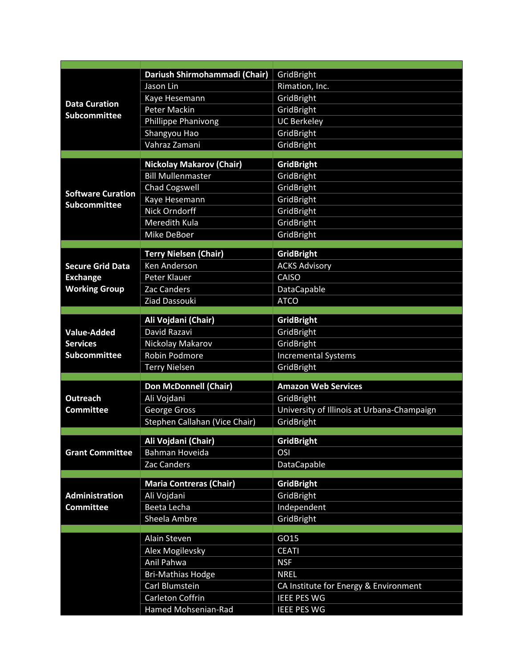| <b>Data Curation</b><br><b>Subcommittee</b> | Dariush Shirmohammadi (Chair)                               | GridBright                                 |
|---------------------------------------------|-------------------------------------------------------------|--------------------------------------------|
|                                             | Jason Lin                                                   | Rimation, Inc.                             |
|                                             | Kaye Hesemann                                               | GridBright                                 |
|                                             | <b>Peter Mackin</b>                                         | GridBright                                 |
|                                             | <b>Phillippe Phanivong</b>                                  | <b>UC Berkeley</b>                         |
|                                             | Shangyou Hao                                                | GridBright                                 |
|                                             | Vahraz Zamani                                               | GridBright                                 |
|                                             |                                                             |                                            |
|                                             | <b>Nickolay Makarov (Chair)</b><br><b>Bill Mullenmaster</b> | <b>GridBright</b>                          |
|                                             |                                                             | GridBright                                 |
| <b>Software Curation</b>                    | <b>Chad Cogswell</b>                                        | GridBright                                 |
| <b>Subcommittee</b>                         | Kaye Hesemann<br><b>Nick Orndorff</b>                       | GridBright                                 |
|                                             |                                                             | GridBright                                 |
|                                             | Meredith Kula                                               | GridBright                                 |
|                                             | Mike DeBoer                                                 | GridBright                                 |
|                                             | <b>Terry Nielsen (Chair)</b>                                | <b>GridBright</b>                          |
| <b>Secure Grid Data</b>                     | Ken Anderson                                                | <b>ACKS Advisory</b>                       |
| <b>Exchange</b>                             | Peter Klauer                                                | CAISO                                      |
| <b>Working Group</b>                        | <b>Zac Canders</b>                                          | DataCapable                                |
|                                             | Ziad Dassouki                                               | <b>ATCO</b>                                |
|                                             |                                                             |                                            |
|                                             | Ali Vojdani (Chair)                                         | <b>GridBright</b>                          |
| <b>Value-Added</b>                          | David Razavi                                                | GridBright                                 |
| <b>Services</b>                             | Nickolay Makarov                                            | GridBright                                 |
| Subcommittee                                | Robin Podmore                                               | <b>Incremental Systems</b>                 |
|                                             | <b>Terry Nielsen</b>                                        | GridBright                                 |
|                                             | <b>Don McDonnell (Chair)</b>                                | <b>Amazon Web Services</b>                 |
| <b>Outreach</b>                             | Ali Vojdani                                                 | GridBright                                 |
| <b>Committee</b>                            | George Gross                                                | University of Illinois at Urbana-Champaign |
|                                             | Stephen Callahan (Vice Chair)                               | GridBright                                 |
|                                             |                                                             |                                            |
|                                             | Ali Vojdani (Chair)                                         | <b>GridBright</b>                          |
| <b>Grant Committee</b>                      | Bahman Hoveida                                              | OSI                                        |
|                                             | Zac Canders                                                 | DataCapable                                |
|                                             | <b>Maria Contreras (Chair)</b>                              | <b>GridBright</b>                          |
| Administration                              | Ali Vojdani                                                 | GridBright                                 |
| <b>Committee</b>                            | Beeta Lecha                                                 | Independent                                |
|                                             | Sheela Ambre                                                | GridBright                                 |
|                                             |                                                             |                                            |
|                                             | Alain Steven                                                | GO15                                       |
|                                             | Alex Mogilevsky                                             | <b>CEATI</b>                               |
|                                             | Anil Pahwa                                                  | <b>NSF</b>                                 |
|                                             | <b>Bri-Mathias Hodge</b>                                    | <b>NREL</b>                                |
|                                             | Carl Blumstein                                              | CA Institute for Energy & Environment      |
|                                             | Carleton Coffrin                                            | <b>IEEE PES WG</b>                         |
|                                             | Hamed Mohsenian-Rad                                         | <b>IEEE PES WG</b>                         |